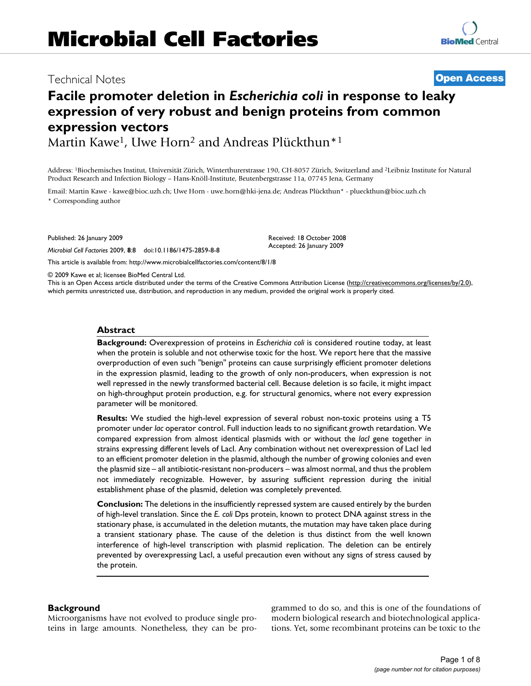# Technical Notes **[Open Access](http://www.biomedcentral.com/info/about/charter/)**

# **Facile promoter deletion in** *Escherichia coli* **in response to leaky expression of very robust and benign proteins from common expression vectors**

Martin Kawe<sup>1</sup>, Uwe Horn<sup>2</sup> and Andreas Plückthun<sup>\*1</sup>

**[BioMed](http://www.biomedcentral.com/)** Central

Address: 1Biochemisches Institut, Universität Zürich, Winterthurerstrasse 190, CH-8057 Zürich, Switzerland and 2Leibniz Institute for Natural Product Research and Infection Biology – Hans-Knöll-Institute, Beutenbergstrasse 11a, 07745 Jena, Germany

Email: Martin Kawe - kawe@bioc.uzh.ch; Uwe Horn - uwe.horn@hki-jena.de; Andreas Plückthun\* - plueckthun@bioc.uzh.ch \* Corresponding author

Published: 26 January 2009

*Microbial Cell Factories* 2009, **8**:8 doi:10.1186/1475-2859-8-8

[This article is available from: http://www.microbialcellfactories.com/content/8/1/8](http://www.microbialcellfactories.com/content/8/1/8)

© 2009 Kawe et al; licensee BioMed Central Ltd.

This is an Open Access article distributed under the terms of the Creative Commons Attribution License [\(http://creativecommons.org/licenses/by/2.0\)](http://creativecommons.org/licenses/by/2.0), which permits unrestricted use, distribution, and reproduction in any medium, provided the original work is properly cited.

Received: 18 October 2008 Accepted: 26 January 2009

#### **Abstract**

**Background:** Overexpression of proteins in *Escherichia coli* is considered routine today, at least when the protein is soluble and not otherwise toxic for the host. We report here that the massive overproduction of even such "benign" proteins can cause surprisingly efficient promoter deletions in the expression plasmid, leading to the growth of only non-producers, when expression is not well repressed in the newly transformed bacterial cell. Because deletion is so facile, it might impact on high-throughput protein production, e.g. for structural genomics, where not every expression parameter will be monitored.

**Results:** We studied the high-level expression of several robust non-toxic proteins using a T5 promoter under *lac* operator control. Full induction leads to no significant growth retardation. We compared expression from almost identical plasmids with or without the *lacI* gene together in strains expressing different levels of LacI. Any combination without net overexpression of LacI led to an efficient promoter deletion in the plasmid, although the number of growing colonies and even the plasmid size – all antibiotic-resistant non-producers – was almost normal, and thus the problem not immediately recognizable. However, by assuring sufficient repression during the initial establishment phase of the plasmid, deletion was completely prevented.

**Conclusion:** The deletions in the insufficiently repressed system are caused entirely by the burden of high-level translation. Since the *E. coli* Dps protein, known to protect DNA against stress in the stationary phase, is accumulated in the deletion mutants, the mutation may have taken place during a transient stationary phase. The cause of the deletion is thus distinct from the well known interference of high-level transcription with plasmid replication. The deletion can be entirely prevented by overexpressing LacI, a useful precaution even without any signs of stress caused by the protein.

### **Background**

Microorganisms have not evolved to produce single proteins in large amounts. Nonetheless, they can be programmed to do so, and this is one of the foundations of modern biological research and biotechnological applications. Yet, some recombinant proteins can be toxic to the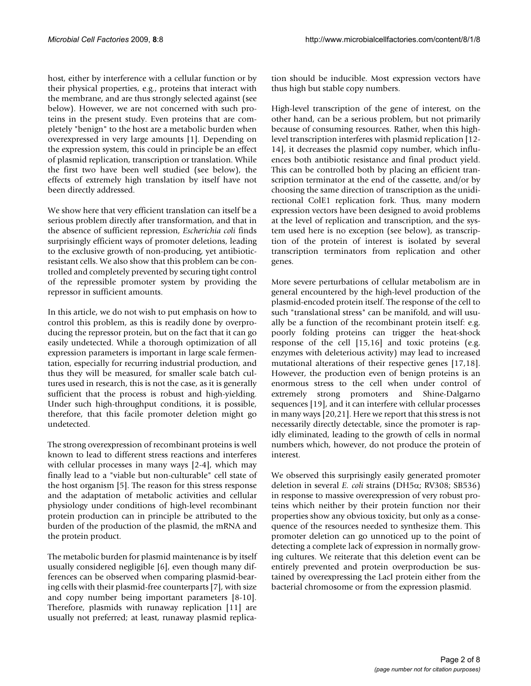host, either by interference with a cellular function or by their physical properties, e.g., proteins that interact with the membrane, and are thus strongly selected against (see below). However, we are not concerned with such proteins in the present study. Even proteins that are completely "benign" to the host are a metabolic burden when overexpressed in very large amounts [1]. Depending on the expression system, this could in principle be an effect of plasmid replication, transcription or translation. While the first two have been well studied (see below), the effects of extremely high translation by itself have not been directly addressed.

We show here that very efficient translation can itself be a serious problem directly after transformation, and that in the absence of sufficient repression, *Escherichia coli* finds surprisingly efficient ways of promoter deletions, leading to the exclusive growth of non-producing, yet antibioticresistant cells. We also show that this problem can be controlled and completely prevented by securing tight control of the repressible promoter system by providing the repressor in sufficient amounts.

In this article, we do not wish to put emphasis on how to control this problem, as this is readily done by overproducing the repressor protein, but on the fact that it can go easily undetected. While a thorough optimization of all expression parameters is important in large scale fermentation, especially for recurring industrial production, and thus they will be measured, for smaller scale batch cultures used in research, this is not the case, as it is generally sufficient that the process is robust and high-yielding. Under such high-throughput conditions, it is possible, therefore, that this facile promoter deletion might go undetected.

The strong overexpression of recombinant proteins is well known to lead to different stress reactions and interferes with cellular processes in many ways [2-4], which may finally lead to a "viable but non-culturable" cell state of the host organism [5]. The reason for this stress response and the adaptation of metabolic activities and cellular physiology under conditions of high-level recombinant protein production can in principle be attributed to the burden of the production of the plasmid, the mRNA and the protein product.

The metabolic burden for plasmid maintenance is by itself usually considered negligible [6], even though many differences can be observed when comparing plasmid-bearing cells with their plasmid-free counterparts [\[7](#page-6-0)], with size and copy number being important parameters [8-10]. Therefore, plasmids with runaway replication [11] are usually not preferred; at least, runaway plasmid replication should be inducible. Most expression vectors have thus high but stable copy numbers.

High-level transcription of the gene of interest, on the other hand, can be a serious problem, but not primarily because of consuming resources. Rather, when this highlevel transcription interferes with plasmid replication [12- [14\]](#page-7-0), it decreases the plasmid copy number, which influences both antibiotic resistance and final product yield. This can be controlled both by placing an efficient transcription terminator at the end of the cassette, and/or by choosing the same direction of transcription as the unidirectional ColE1 replication fork. Thus, many modern expression vectors have been designed to avoid problems at the level of replication and transcription, and the system used here is no exception (see below), as transcription of the protein of interest is isolated by several transcription terminators from replication and other genes.

More severe perturbations of cellular metabolism are in general encountered by the high-level production of the plasmid-encoded protein itself. The response of the cell to such "translational stress" can be manifold, and will usually be a function of the recombinant protein itself: e.g. poorly folding proteins can trigger the heat-shock response of the cell [[15,](#page-7-1)16] and toxic proteins (e.g. enzymes with deleterious activity) may lead to increased mutational alterations of their respective genes [17,18]. However, the production even of benign proteins is an enormous stress to the cell when under control of extremely strong promoters and Shine-Dalgarno sequences [19], and it can interfere with cellular processes in many ways [20,21]. Here we report that this stress is not necessarily directly detectable, since the promoter is rapidly eliminated, leading to the growth of cells in normal numbers which, however, do not produce the protein of interest.

We observed this surprisingly easily generated promoter deletion in several *E. coli* strains (DH5α; RV308; SB536) in response to massive overexpression of very robust proteins which neither by their protein function nor their properties show any obvious toxicity, but only as a consequence of the resources needed to synthesize them. This promoter deletion can go unnoticed up to the point of detecting a complete lack of expression in normally growing cultures. We reiterate that this deletion event can be entirely prevented and protein overproduction be sustained by overexpressing the LacI protein either from the bacterial chromosome or from the expression plasmid.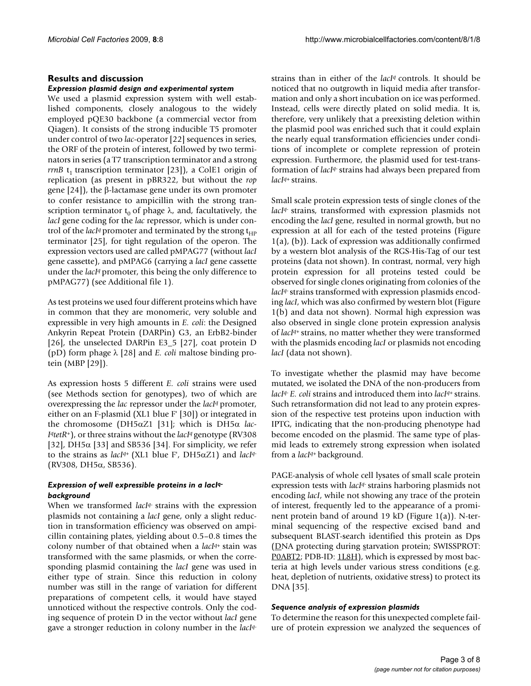### **Results and discussion**

# *Expression plasmid design and experimental system*

We used a plasmid expression system with well established components, closely analogous to the widely employed pQE30 backbone (a commercial vector from Qiagen). It consists of the strong inducible T5 promoter under control of two *lac*-operator [22] sequences in series, the ORF of the protein of interest, followed by two terminators in series (a T7 transcription terminator and a strong *rrnB*  $t_1$  transcription terminator [23]), a ColE1 origin of replication (as present in pBR322, but without the *rop* gene  $[24]$ ), the β-lactamase gene under its own promoter to confer resistance to ampicillin with the strong transcription terminator  $t_0$  of phage  $\lambda$ , and, facultatively, the *lacI* gene coding for the *lac* repressor, which is under control of the *lacI*<sup>q</sup> promoter and terminated by the strong t<sub>HP</sub> terminator [25], for tight regulation of the operon. The expression vectors used are called pMPAG77 (without *lacI* gene cassette), and pMPAG6 (carrying a *lacI* gene cassette under the *lacIq* promoter, this being the only difference to pMPAG77) (see Additional file 1).

As test proteins we used four different proteins which have in common that they are monomeric, very soluble and expressible in very high amounts in *E. coli*: the Designed Ankyrin Repeat Protein (DARPin) G3, an ErbB2-binder [26], the unselected DARPin E3\_5 [27], coat protein D (pD) form phage λ [28] and *E. coli* maltose binding protein (MBP [29]).

As expression hosts 5 different *E. coli* strains were used (see Methods section for genotypes), two of which are overexpressing the *lac* repressor under the *lacIq* promoter, either on an F-plasmid (XL1 blue F' [30]) or integrated in the chromosome (DH5αZ1 [31]; which is DH5α *lac-IqtetR*<sup>+</sup>), or three strains without the *lacIq* genotype (RV308 [[32](#page-7-2)], DH5 $\alpha$  [33] and SB536 [34]. For simplicity, we refer to the strains as *lacIq*+ (XL1 blue F', DH5αZ1) and *lacIq*- (RV308, DH5α, SB536).

# *Expression of well expressible proteins in a lacIqbackground*

When we transformed *lacIq*- strains with the expression plasmids not containing a *lacI* gene, only a slight reduction in transformation efficiency was observed on ampicillin containing plates, yielding about 0.5–0.8 times the colony number of that obtained when a *lacIq*+ stain was transformed with the same plasmids, or when the corresponding plasmid containing the *lacI* gene was used in either type of strain. Since this reduction in colony number was still in the range of variation for different preparations of competent cells, it would have stayed unnoticed without the respective controls. Only the coding sequence of protein D in the vector without *lacI* gene gave a stronger reduction in colony number in the *lacIq*- strains than in either of the *lacIq* controls. It should be noticed that no outgrowth in liquid media after transformation and only a short incubation on ice was performed. Instead, cells were directly plated on solid media. It is, therefore, very unlikely that a preexisting deletion within the plasmid pool was enriched such that it could explain the nearly equal transformation efficiencies under conditions of incomplete or complete repression of protein expression. Furthermore, the plasmid used for test-transformation of *lacIq*- strains had always been prepared from *lacIq*+ strains.

Small scale protein expression tests of single clones of the *lacIq*- strains, transformed with expression plasmids not encoding the *lacI* gene, resulted in normal growth, but no expression at all for each of the tested proteins (Figure 1(a), (b)). Lack of expression was additionally confirmed by a western blot analysis of the RGS-His-Tag of our test proteins (data not shown). In contrast, normal, very high protein expression for all proteins tested could be observed for single clones originating from colonies of the *lacIq*- strains transformed with expression plasmids encoding *lacI*, which was also confirmed by western blot (Figure 1(b) and data not shown). Normal high expression was also observed in single clone protein expression analysis of *lacIq*+ strains, no matter whether they were transformed with the plasmids encoding *lacI* or plasmids not encoding *lacI* (data not shown).

To investigate whether the plasmid may have become mutated, we isolated the DNA of the non-producers from *lacIq*- *E. coli* strains and introduced them into *lacIq*+ strains. Such retransformation did not lead to any protein expression of the respective test proteins upon induction with IPTG, indicating that the non-producing phenotype had become encoded on the plasmid. The same type of plasmid leads to extremely strong expression when isolated from a *lacIq*+ background.

PAGE-analysis of whole cell lysates of small scale protein expression tests with *lacIq*- strains harboring plasmids not encoding *lacI*, while not showing any trace of the protein of interest, frequently led to the appearance of a prominent protein band of around 19 kD (Figure 1(a)). N-terminal sequencing of the respective excised band and subsequent BLAST-search identified this protein as Dps (DNA protecting during starvation protein; SWISSPROT: [P0ABT2;](http://www.ebi.ac.uk/cgi-bin/dbfetch?db=swall&id=P0ABT2) PDB-ID: [1L8H\)](http://www.rcsb.org/pdb/cgi/explore.cgi?pdbId=1L8H), which is expressed by most bacteria at high levels under various stress conditions (e.g. heat, depletion of nutrients, oxidative stress) to protect its DNA [35].

### *Sequence analysis of expression plasmids*

To determine the reason for this unexpected complete failure of protein expression we analyzed the sequences of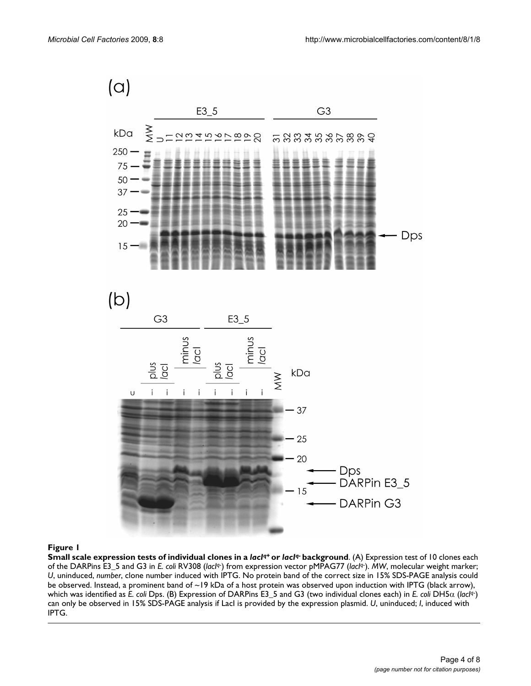$(a)$ 



#### **Figure I**

**Small scale expression tests of individual clones in a** *lacIq***+ or** *lacIq***- background**. (A) Expression test of 10 clones each of the DARPins E3\_5 and G3 in *E. coli* RV308 (*lacI*<sup>q.</sup>) from expression vector pMPAG77 (*lacI*<sup>q.</sup>). MW, molecular weight marker; *U*, uninduced, *number*, clone number induced with IPTG. No protein band of the correct size in 15% SDS-PAGE analysis could be observed. Instead, a prominent band of ~19 kDa of a host protein was observed upon induction with IPTG (black arrow), which was identified as *E. coli* Dps. (B) Expression of DARPins E3\_5 and G3 (two individual clones each) in *E. coli* DH5α (*lacIq*- ) can only be observed in 15% SDS-PAGE analysis if LacI is provided by the expression plasmid. *U*, uninduced; *I*, induced with IPTG.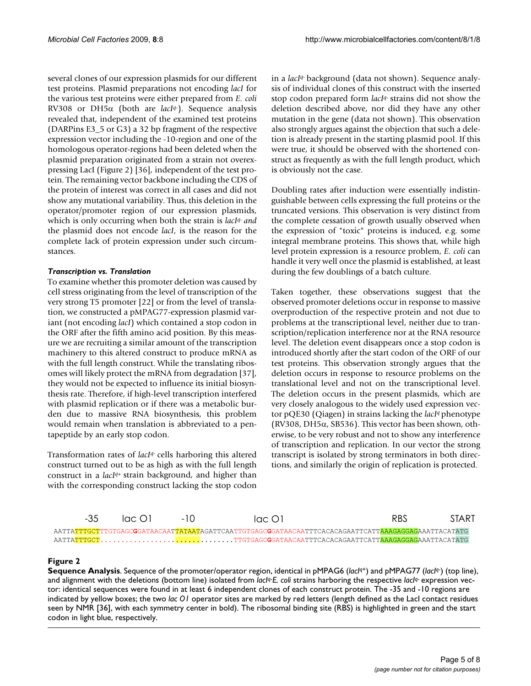several clones of our expression plasmids for our different test proteins. Plasmid preparations not encoding *lacI* for the various test proteins were either prepared from *E. coli* RV308 or DH5α (both are *lacIq*- ). Sequence analysis revealed that, independent of the examined test proteins (DARPins E3\_5 or G3) a 32 bp fragment of the respective expression vector including the -10-region and one of the homologous operator-regions had been deleted when the plasmid preparation originated from a strain not overexpressing LacI (Figure 2) [36], independent of the test protein. The remaining vector backbone including the CDS of the protein of interest was correct in all cases and did not show any mutational variability. Thus, this deletion in the operator/promoter region of our expression plasmids, which is only occurring when both the strain is *lacIq*- *and* the plasmid does not encode *lacI*, is the reason for the complete lack of protein expression under such circumstances.

# *Transcription vs. Translation*

To examine whether this promoter deletion was caused by cell stress originating from the level of transcription of the very strong T5 promoter [22] or from the level of translation, we constructed a pMPAG77-expression plasmid variant (not encoding *lacI*) which contained a stop codon in the ORF after the fifth amino acid position. By this measure we are recruiting a similar amount of the transcription machinery to this altered construct to produce mRNA as with the full length construct. While the translating ribosomes will likely protect the mRNA from degradation [37], they would not be expected to influence its initial biosynthesis rate. Therefore, if high-level transcription interfered with plasmid replication or if there was a metabolic burden due to massive RNA biosynthesis, this problem would remain when translation is abbreviated to a pentapeptide by an early stop codon.

Transformation rates of *lacIq*- cells harboring this altered construct turned out to be as high as with the full length construct in a *lacIq*+ strain background, and higher than with the corresponding construct lacking the stop codon

in a *lacIq*- background (data not shown). Sequence analysis of individual clones of this construct with the inserted stop codon prepared form *lacIq*- strains did not show the deletion described above, nor did they have any other mutation in the gene (data not shown). This observation also strongly argues against the objection that such a deletion is already present in the starting plasmid pool. If this were true, it should be observed with the shortened construct as frequently as with the full length product, which is obviously not the case.

Doubling rates after induction were essentially indistinguishable between cells expressing the full proteins or the truncated versions. This observation is very distinct from the complete cessation of growth usually observed when the expression of "toxic" proteins is induced, e.g. some integral membrane proteins. This shows that, while high level protein expression is a resource problem, *E. coli* can handle it very well once the plasmid is established, at least during the few doublings of a batch culture.

Taken together, these observations suggest that the observed promoter deletions occur in response to massive overproduction of the respective protein and not due to problems at the transcriptional level, neither due to transcription/replication interference nor at the RNA resource level. The deletion event disappears once a stop codon is introduced shortly after the start codon of the ORF of our test proteins. This observation strongly argues that the deletion occurs in response to resource problems on the translational level and not on the transcriptional level. The deletion occurs in the present plasmids, which are very closely analogous to the widely used expression vector pQE30 (Qiagen) in strains lacking the *lacIq* phenotype (RV308, DH5α, SB536). This vector has been shown, otherwise, to be very robust and not to show any interference of transcription and replication. In our vector the strong transcript is isolated by strong terminators in both directions, and similarly the origin of replication is protected.

| $-35$ | $\sim$ 1 |                                                                                                                                                                    |  |
|-------|----------|--------------------------------------------------------------------------------------------------------------------------------------------------------------------|--|
|       |          | AATTA <mark>TTTGCT</mark> TTGTGAGC <b>G</b> GATAACAAT <mark>TATAAT</mark> AGATTCAATTGTGAGC <b>G</b> GATAACAATTTCACACAGAATTCATT <mark>AAAGAGGAG</mark> AAATTACATATG |  |

----**-**----------------------

# **Figure 2**

**Sequence Analysis**. Sequence of the promoter/operator region, identical in pMPAG6 (*lacIq*+) and pMPAG77 (*lacIq*- ) (top line), and alignment with the deletions (bottom line) isolated from *lacl¶E. coli s*trains harboring the respective *lacl¶*- expression vector: identical sequences were found in at least 6 independent clones of each construct protein. The -35 and -10 regions are indicated by yellow boxes; the two *lac O1* operator sites are marked by red letters (length defined as the LacI contact residues seen by NMR [36], with each symmetry center in bold). The ribosomal binding site (RBS) is highlighted in green and the start codon in light blue, respectively.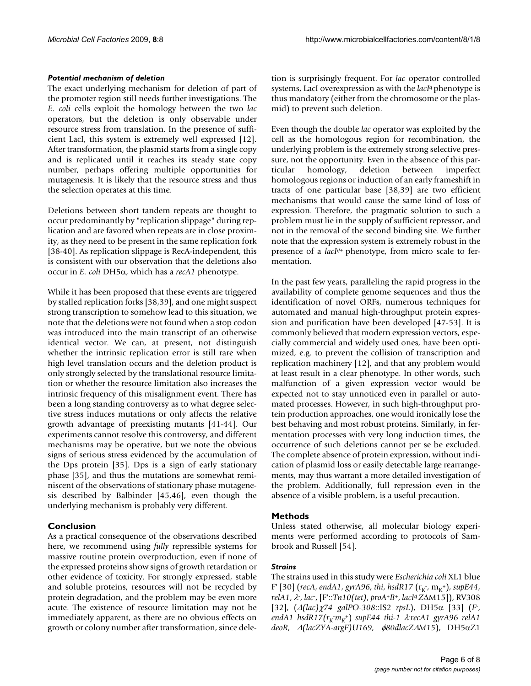#### *Potential mechanism of deletion*

The exact underlying mechanism for deletion of part of the promoter region still needs further investigations. The *E. coli* cells exploit the homology between the two *lac* operators, but the deletion is only observable under resource stress from translation. In the presence of sufficient LacI, this system is extremely well expressed [12]. After transformation, the plasmid starts from a single copy and is replicated until it reaches its steady state copy number, perhaps offering multiple opportunities for mutagenesis. It is likely that the resource stress and thus the selection operates at this time.

Deletions between short tandem repeats are thought to occur predominantly by "replication slippage" during replication and are favored when repeats are in close proximity, as they need to be present in the same replication fork [38-40]. As replication slippage is RecA-independent, this is consistent with our observation that the deletions also occur in *E. coli* DH5α, which has a *recA1* phenotype.

While it has been proposed that these events are triggered by stalled replication forks [38,39], and one might suspect strong transcription to somehow lead to this situation, we note that the deletions were not found when a stop codon was introduced into the main transcript of an otherwise identical vector. We can, at present, not distinguish whether the intrinsic replication error is still rare when high level translation occurs and the deletion product is only strongly selected by the translational resource limitation or whether the resource limitation also increases the intrinsic frequency of this misalignment event. There has been a long standing controversy as to what degree selective stress induces mutations or only affects the relative growth advantage of preexisting mutants [41-44]. Our experiments cannot resolve this controversy, and different mechanisms may be operative, but we note the obvious signs of serious stress evidenced by the accumulation of the Dps protein [35]. Dps is a sign of early stationary phase [35], and thus the mutations are somewhat reminiscent of the observations of stationary phase mutagenesis described by Balbinder [[45](#page-7-3),[46\]](#page-7-4), even though the underlying mechanism is probably very different.

# **Conclusion**

As a practical consequence of the observations described here, we recommend using *fully* repressible systems for massive routine protein overproduction, even if none of the expressed proteins show signs of growth retardation or other evidence of toxicity. For strongly expressed, stable and soluble proteins, resources will not be recycled by protein degradation, and the problem may be even more acute. The existence of resource limitation may not be immediately apparent, as there are no obvious effects on growth or colony number after transformation, since deletion is surprisingly frequent. For *lac* operator controlled systems, LacI overexpression as with the *lacIq* phenotype is thus mandatory (either from the chromosome or the plasmid) to prevent such deletion.

Even though the double *lac* operator was exploited by the cell as the homologous region for recombination, the underlying problem is the extremely strong selective pressure, not the opportunity. Even in the absence of this particular homology, deletion between imperfect homologous regions or induction of an early frameshift in tracts of one particular base [38,39] are two efficient mechanisms that would cause the same kind of loss of expression. Therefore, the pragmatic solution to such a problem must lie in the supply of sufficient repressor, and not in the removal of the second binding site. We further note that the expression system is extremely robust in the presence of a *lacIq*+ phenotype, from micro scale to fermentation.

In the past few years, paralleling the rapid progress in the availability of complete genome sequences and thus the identification of novel ORFs, numerous techniques for automated and manual high-throughput protein expression and purification have been developed [47-53]. It is commonly believed that modern expression vectors, especially commercial and widely used ones, have been optimized, e.g. to prevent the collision of transcription and replication machinery [12], and that any problem would at least result in a clear phenotype. In other words, such malfunction of a given expression vector would be expected not to stay unnoticed even in parallel or automated processes. However, in such high-throughput protein production approaches, one would ironically lose the best behaving and most robust proteins. Similarly, in fermentation processes with very long induction times, the occurrence of such deletions cannot per se be excluded. The complete absence of protein expression, without indication of plasmid loss or easily detectable large rearrangements, may thus warrant a more detailed investigation of the problem. Additionally, full repression even in the absence of a visible problem, is a useful precaution.

### **Methods**

Unless stated otherwise, all molecular biology experiments were performed according to protocols of Sambrook and Russell [54].

### *Strains*

The strains used in this study were *Escherichia coli* XL1 blue F' [30] (recA, endA1, gyrA96, thi, hsdR17 (r<sub>K</sub>, m<sub>K</sub>+), supE44, *relA1*, λ- , *lac*- , [F'::*Tn10(tet)*, *proA*<sup>+</sup>*B*+, *lacIq Z*ΔM15]), RV308 [[32](#page-7-2)], (Δ*(lac)*χ*74 galPO-308*::IS2 *rpsL*), DH5α [33] (*F*- , endA1 hsdR17(r<sub>K</sub>·m<sub>K</sub>+) supE44 thi-1 λ·recA1 gyrA96 relA1 *deoR,* Δ*(lacZYA-argF)U169,* φ*80dlacZ*Δ*M15*), DH5αZ1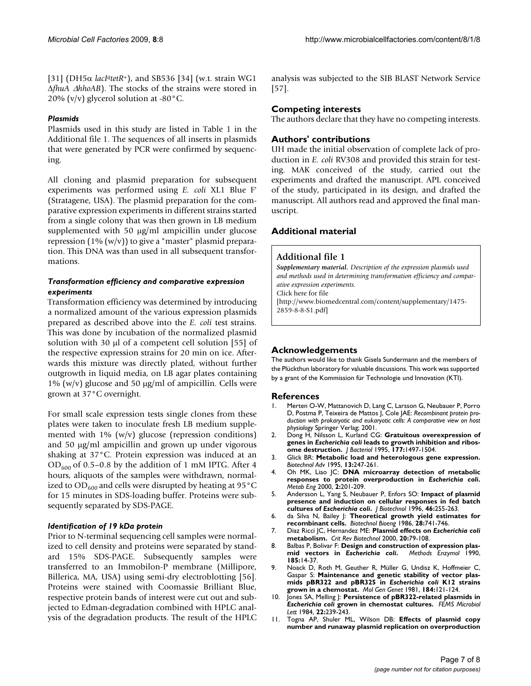[31] (DH5 $\alpha$  *lacI* $\alpha$ tetR<sup>+</sup>), and SB536 [34] (w.t. strain WG1 Δ*fhuA* Δ*hhoAB*). The stocks of the strains were stored in 20% (v/v) glycerol solution at -80 $^{\circ}$ C.

#### *Plasmids*

Plasmids used in this study are listed in Table 1 in the Additional file 1. The sequences of all inserts in plasmids that were generated by PCR were confirmed by sequencing.

All cloning and plasmid preparation for subsequent experiments was performed using *E. coli* XL1 Blue F' (Stratagene, USA). The plasmid preparation for the comparative expression experiments in different strains started from a single colony that was then grown in LB medium supplemented with 50 μg/ml ampicillin under glucose repression  $(1\% (w/v))$  to give a "master" plasmid preparation. This DNA was than used in all subsequent transformations.

#### *Transformation efficiency and comparative expression experiments*

Transformation efficiency was determined by introducing a normalized amount of the various expression plasmids prepared as described above into the *E. coli* test strains. This was done by incubation of the normalized plasmid solution with 30 μl of a competent cell solution [55] of the respective expression strains for 20 min on ice. Afterwards this mixture was directly plated, without further outgrowth in liquid media, on LB agar plates containing 1% (w/v) glucose and 50 μg/ml of ampicillin. Cells were grown at 37°C overnight.

For small scale expression tests single clones from these plates were taken to inoculate fresh LB medium supplemented with  $1\%$  (w/v) glucose (repression conditions) and 50 μg/ml ampicillin and grown up under vigorous shaking at 37°C. Protein expression was induced at an  $OD_{600}$  of 0.5–0.8 by the addition of 1 mM IPTG. After 4 hours, aliquots of the samples were withdrawn, normalized to  $OD_{600}$  and cells were disrupted by heating at 95 $^{\circ}$ C for 15 minutes in SDS-loading buffer. Proteins were subsequently separated by SDS-PAGE.

#### *Identification of 19 kDa protein*

Prior to N-terminal sequencing cell samples were normalized to cell density and proteins were separated by standard 15% SDS-PAGE. Subsequently samples were transferred to an Immobilon-P membrane (Millipore, Billerica, MA, USA) using semi-dry electroblotting [56]. Proteins were stained with Coomassie Brilliant Blue, respective protein bands of interest were cut out and subjected to Edman-degradation combined with HPLC analysis of the degradation products. The result of the HPLC analysis was subjected to the SIB BLAST Network Service [57].

### **Competing interests**

The authors declare that they have no competing interests.

#### **Authors' contributions**

UH made the initial observation of complete lack of production in *E. coli* RV308 and provided this strain for testing. MAK conceived of the study, carried out the experiments and drafted the manuscript. APL conceived of the study, participated in its design, and drafted the manuscript. All authors read and approved the final manuscript.

# **Additional material**

#### **Additional file 1**

*Supplementary material. Description of the expression plasmids used and methods used in determining transformation efficiency and comparative expression experiments.* Click here for file

[\[http://www.biomedcentral.com/content/supplementary/1475-](http://www.biomedcentral.com/content/supplementary/1475-2859-8-8-S1.pdf) 2859-8-8-S1.pdf]

### **Acknowledgements**

The authors would like to thank Gisela Sundermann and the members of the Plückthun laboratory for valuable discussions. This work was supported by a grant of the Kommission für Technologie und Innovation (KTI).

#### **References**

- 1. Merten O-W, Mattanovich D, Lang C, Larsson G, Neubauer P, Porro D, Postma P, Teixeira de Mattos J, Cole JAE: *Recombinant protein production with prokaryotic and eukaryotic cells: A comparative view on host physiology* Springer Verlag; 2001.
- 2. Dong H, Nilsson L, Kurland CG: **Gratuitous overexpression of genes in** *Escherichia coli* **[leads to growth inhibition and ribos](http://www.ncbi.nlm.nih.gov/entrez/query.fcgi?cmd=Retrieve&db=PubMed&dopt=Abstract&list_uids=7883706)[ome destruction.](http://www.ncbi.nlm.nih.gov/entrez/query.fcgi?cmd=Retrieve&db=PubMed&dopt=Abstract&list_uids=7883706)** *J Bacteriol* 1995, **177:**1497-1504.
- 3. Glick BR: **[Metabolic load and heterologous gene expression.](http://www.ncbi.nlm.nih.gov/entrez/query.fcgi?cmd=Retrieve&db=PubMed&dopt=Abstract&list_uids=14537822)** *Biotechnol Adv* 1995, **13:**247-261.
- 4. Oh MK, Liao JC: **DNA microarray detection of metabolic responses to protein overproduction in** *Escherichia coli***[.](http://www.ncbi.nlm.nih.gov/entrez/query.fcgi?cmd=Retrieve&db=PubMed&dopt=Abstract&list_uids=11056062)** *Metab Eng* 2000, **2:**201-209.
- 5. Andersson L, Yang S, Neubauer P, Enfors SO: **Impact of plasmid presence and induction on cellular responses in fed batch cultures of** *Escherichia coli***[.](http://www.ncbi.nlm.nih.gov/entrez/query.fcgi?cmd=Retrieve&db=PubMed&dopt=Abstract&list_uids=8672292)** *J Biotechnol* 1996, **46:**255-263.
- 6. da Silva N, Bailey J: **[Theoretical growth yield estimates for](http://www.ncbi.nlm.nih.gov/entrez/query.fcgi?cmd=Retrieve&db=PubMed&dopt=Abstract&list_uids=18555386) [recombinant cells.](http://www.ncbi.nlm.nih.gov/entrez/query.fcgi?cmd=Retrieve&db=PubMed&dopt=Abstract&list_uids=18555386)** *Biotechnol Bioeng* 1986, **28:**741-746.
- <span id="page-6-0"></span>7. Diaz Ricci JC, Hernandez ME: **Plasmid effects on** *Escherichia coli* **[metabolism.](http://www.ncbi.nlm.nih.gov/entrez/query.fcgi?cmd=Retrieve&db=PubMed&dopt=Abstract&list_uids=10890453)** *Crit Rev Biotechnol* 2000, **20:**79-108.
- 8. Balbas P, Bolivar F: **Design and construction of expression plasmid vectors in** *Escherichia coli***[.](http://www.ncbi.nlm.nih.gov/entrez/query.fcgi?cmd=Retrieve&db=PubMed&dopt=Abstract&list_uids=2199776)** *Methods Enzymol* 1990, **185:**14-37.
- 9. Noack D, Roth M, Geuther R, Müller G, Undisz K, Hoffmeier C, Gaspar S: **Maintenance and genetic stability of vector plasmids pBR322 and pBR325 in** *Escherichia coli* **[K12 strains](http://www.ncbi.nlm.nih.gov/entrez/query.fcgi?cmd=Retrieve&db=PubMed&dopt=Abstract&list_uids=6278246) [grown in a chemostat.](http://www.ncbi.nlm.nih.gov/entrez/query.fcgi?cmd=Retrieve&db=PubMed&dopt=Abstract&list_uids=6278246)** *Mol Gen Genet* 1981, **184:**121-124.
- 10. Jones SA, Melling J: **Persistence of pBR322-related plasmids in** *Escherichia coli* **grown in chemostat cultures.** *FEMS Microbiol Lett* 1984, **22:**239-243.
- 11. Togna AP, Shuler ML, Wilson DB: **Effects of plasmid copy number and runaway plasmid replication on overproduction**